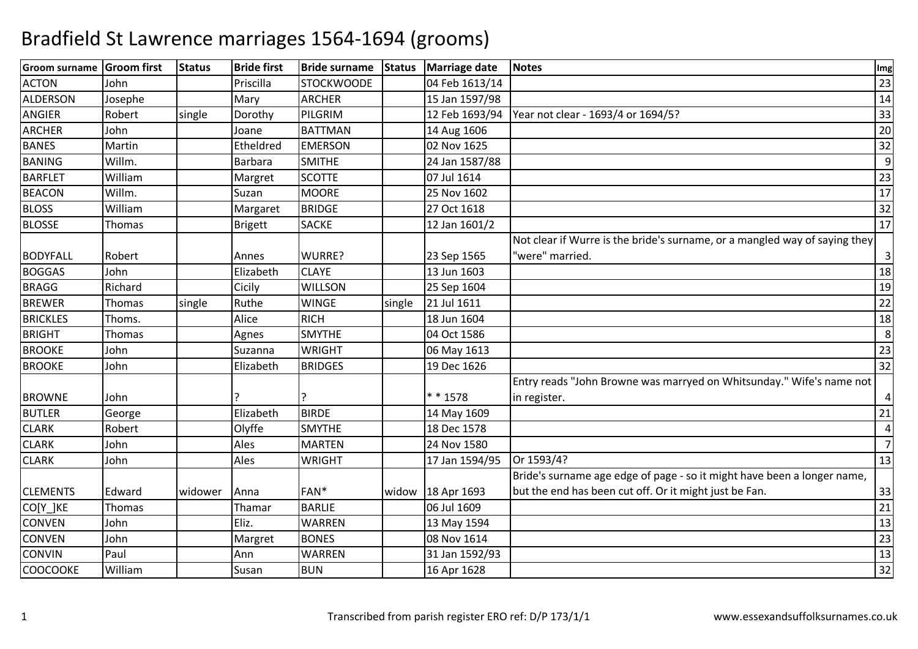| <b>Groom surname</b> | Groom first   | <b>Status</b> | <b>Bride first</b> | <b>Bride surname</b> | <b>Status</b> | <b>Marriage date</b> | <b>Notes</b>                                                               | Img            |
|----------------------|---------------|---------------|--------------------|----------------------|---------------|----------------------|----------------------------------------------------------------------------|----------------|
| <b>ACTON</b>         | John          |               | Priscilla          | <b>STOCKWOODE</b>    |               | 04 Feb 1613/14       |                                                                            | 23             |
| ALDERSON             | Josephe       |               | Mary               | <b>ARCHER</b>        |               | 15 Jan 1597/98       |                                                                            | 14             |
| <b>ANGIER</b>        | Robert        | single        | Dorothy            | PILGRIM              |               |                      | 12 Feb 1693/94   Year not clear - 1693/4 or 1694/5?                        | 33             |
| <b>ARCHER</b>        | John          |               | Joane              | <b>BATTMAN</b>       |               | 14 Aug 1606          |                                                                            | 20             |
| <b>BANES</b>         | Martin        |               | Etheldred          | <b>EMERSON</b>       |               | 02 Nov 1625          |                                                                            | 32             |
| <b>BANING</b>        | Willm.        |               | Barbara            | <b>SMITHE</b>        |               | 24 Jan 1587/88       |                                                                            | 9              |
| <b>BARFLET</b>       | William       |               | Margret            | <b>SCOTTE</b>        |               | 07 Jul 1614          |                                                                            | 23             |
| <b>BEACON</b>        | Willm.        |               | Suzan              | <b>MOORE</b>         |               | 25 Nov 1602          |                                                                            | 17             |
| <b>BLOSS</b>         | William       |               | Margaret           | <b>BRIDGE</b>        |               | 27 Oct 1618          |                                                                            | 32             |
| <b>BLOSSE</b>        | Thomas        |               | Brigett            | <b>SACKE</b>         |               | 12 Jan 1601/2        |                                                                            | 17             |
|                      |               |               |                    |                      |               |                      | Not clear if Wurre is the bride's surname, or a mangled way of saying they |                |
| <b>BODYFALL</b>      | Robert        |               | Annes              | WURRE?               |               | 23 Sep 1565          | 'were" married.                                                            | 3              |
| <b>BOGGAS</b>        | John          |               | Elizabeth          | <b>CLAYE</b>         |               | 13 Jun 1603          |                                                                            | 18             |
| <b>BRAGG</b>         | Richard       |               | Cicily             | <b>WILLSON</b>       |               | 25 Sep 1604          |                                                                            | 19             |
| <b>BREWER</b>        | Thomas        | single        | Ruthe              | <b>WINGE</b>         | single        | 21 Jul 1611          |                                                                            | 22             |
| <b>BRICKLES</b>      | Thoms.        |               | Alice              | <b>RICH</b>          |               | 18 Jun 1604          |                                                                            | 18             |
| <b>BRIGHT</b>        | <b>Thomas</b> |               | Agnes              | <b>SMYTHE</b>        |               | 04 Oct 1586          |                                                                            | 8              |
| <b>BROOKE</b>        | John          |               | Suzanna            | <b>WRIGHT</b>        |               | 06 May 1613          |                                                                            | 23             |
| <b>BROOKE</b>        | John          |               | Elizabeth          | <b>BRIDGES</b>       |               | 19 Dec 1626          |                                                                            | 32             |
|                      |               |               |                    |                      |               |                      | Entry reads "John Browne was marryed on Whitsunday." Wife's name not       |                |
| <b>BROWNE</b>        | John          |               |                    |                      |               | * * 1578             | in register.                                                               | 4              |
| <b>BUTLER</b>        | George        |               | Elizabeth          | <b>BIRDE</b>         |               | 14 May 1609          |                                                                            | 21             |
| <b>CLARK</b>         | Robert        |               | Olyffe             | <b>SMYTHE</b>        |               | 18 Dec 1578          |                                                                            | $\sqrt{4}$     |
| <b>CLARK</b>         | John          |               | Ales               | <b>MARTEN</b>        |               | 24 Nov 1580          |                                                                            | $\overline{7}$ |
| <b>CLARK</b>         | John          |               | Ales               | <b>WRIGHT</b>        |               | 17 Jan 1594/95       | Or 1593/4?                                                                 | 13             |
|                      |               |               |                    |                      |               |                      | Bride's surname age edge of page - so it might have been a longer name,    |                |
| <b>CLEMENTS</b>      | Edward        | widower       | Anna               | FAN*                 | widow         | 18 Apr 1693          | but the end has been cut off. Or it might just be Fan.                     | 33             |
| CO[Y_]KE             | Thomas        |               | Thamar             | <b>BARLIE</b>        |               | 06 Jul 1609          |                                                                            | 21             |
| <b>CONVEN</b>        | John          |               | Eliz.              | <b>WARREN</b>        |               | 13 May 1594          |                                                                            | 13             |
| <b>CONVEN</b>        | John          |               | Margret            | <b>BONES</b>         |               | 08 Nov 1614          |                                                                            | 23             |
| <b>CONVIN</b>        | Paul          |               | Ann                | WARREN               |               | 31 Jan 1592/93       |                                                                            | 13             |
| COOCOOKE             | William       |               | Susan              | <b>BUN</b>           |               | 16 Apr 1628          |                                                                            | 32             |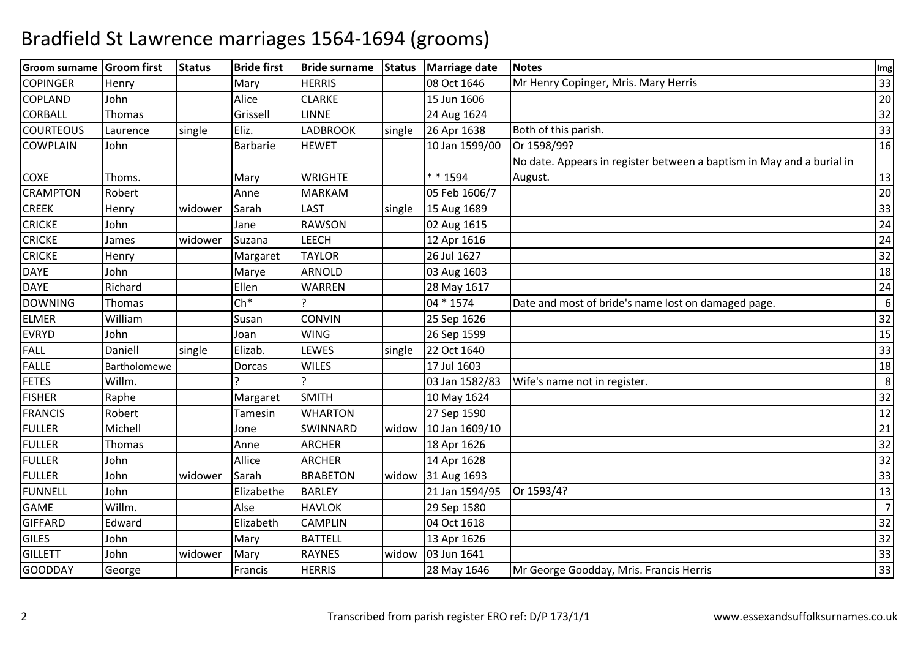| <b>Groom surname</b> | <b>Groom first</b> | <b>Status</b> | <b>Bride first</b> | <b>Bride surname</b> | <b>Status</b> | <b>Marriage date</b> | <b>Notes</b>                                                          | Img            |
|----------------------|--------------------|---------------|--------------------|----------------------|---------------|----------------------|-----------------------------------------------------------------------|----------------|
| <b>COPINGER</b>      | Henry              |               | Mary               | <b>HERRIS</b>        |               | 08 Oct 1646          | Mr Henry Copinger, Mris. Mary Herris                                  | 33             |
| <b>COPLAND</b>       | John               |               | Alice              | <b>CLARKE</b>        |               | 15 Jun 1606          |                                                                       | 20             |
| <b>CORBALL</b>       | Thomas             |               | Grissell           | <b>LINNE</b>         |               | 24 Aug 1624          |                                                                       | 32             |
| <b>COURTEOUS</b>     | Laurence           | single        | Eliz.              | <b>LADBROOK</b>      | single        | 26 Apr 1638          | Both of this parish.                                                  | 33             |
| <b>COWPLAIN</b>      | John               |               | Barbarie           | <b>HEWET</b>         |               | 10 Jan 1599/00       | Or 1598/99?                                                           | 16             |
|                      |                    |               |                    |                      |               |                      | No date. Appears in register between a baptism in May and a burial in |                |
| <b>COXE</b>          | Thoms.             |               | Mary               | <b>WRIGHTE</b>       |               | * * 1594             | August.                                                               | 13             |
| <b>CRAMPTON</b>      | Robert             |               | Anne               | <b>MARKAM</b>        |               | 05 Feb 1606/7        |                                                                       | 20             |
| <b>CREEK</b>         | Henry              | widower       | Sarah              | LAST                 | single        | 15 Aug 1689          |                                                                       | 33             |
| <b>CRICKE</b>        | John               |               | Jane               | <b>RAWSON</b>        |               | 02 Aug 1615          |                                                                       | 24             |
| <b>CRICKE</b>        | James              | widower       | Suzana             | <b>LEECH</b>         |               | 12 Apr 1616          |                                                                       | 24             |
| <b>CRICKE</b>        | Henry              |               | Margaret           | <b>TAYLOR</b>        |               | 26 Jul 1627          |                                                                       | 32             |
| <b>DAYE</b>          | John               |               | Marye              | <b>ARNOLD</b>        |               | 03 Aug 1603          |                                                                       | 18             |
| <b>DAYE</b>          | Richard            |               | Ellen              | <b>WARREN</b>        |               | 28 May 1617          |                                                                       | 24             |
| <b>DOWNING</b>       | Thomas             |               | $Ch*$              |                      |               | 04 * 1574            | Date and most of bride's name lost on damaged page.                   | 6              |
| <b>ELMER</b>         | William            |               | Susan              | <b>CONVIN</b>        |               | 25 Sep 1626          |                                                                       | 32             |
| <b>EVRYD</b>         | John               |               | Joan               | <b>WING</b>          |               | 26 Sep 1599          |                                                                       | 15             |
| <b>FALL</b>          | Daniell            | single        | Elizab.            | LEWES                | single        | 22 Oct 1640          |                                                                       | 33             |
| <b>FALLE</b>         | Bartholomewe       |               | Dorcas             | <b>WILES</b>         |               | 17 Jul 1603          |                                                                       | 18             |
| <b>FETES</b>         | Willm.             |               |                    |                      |               | 03 Jan 1582/83       | Wife's name not in register.                                          | 8              |
| <b>FISHER</b>        | Raphe              |               | Margaret           | <b>SMITH</b>         |               | 10 May 1624          |                                                                       | 32             |
| <b>FRANCIS</b>       | Robert             |               | Tamesin            | <b>WHARTON</b>       |               | 27 Sep 1590          |                                                                       | 12             |
| <b>FULLER</b>        | Michell            |               | Jone               | SWINNARD             | widow         | 10 Jan 1609/10       |                                                                       | 21             |
| <b>FULLER</b>        | Thomas             |               | Anne               | <b>ARCHER</b>        |               | 18 Apr 1626          |                                                                       | 32             |
| <b>FULLER</b>        | John               |               | Allice             | <b>ARCHER</b>        |               | 14 Apr 1628          |                                                                       | 32             |
| <b>FULLER</b>        | John               | widower       | Sarah              | <b>BRABETON</b>      | widow         | 31 Aug 1693          |                                                                       | 33             |
| <b>FUNNELL</b>       | John               |               | Elizabethe         | <b>BARLEY</b>        |               | 21 Jan 1594/95       | Or 1593/4?                                                            | 13             |
| <b>GAME</b>          | Willm.             |               | Alse               | <b>HAVLOK</b>        |               | 29 Sep 1580          |                                                                       | $\overline{7}$ |
| <b>GIFFARD</b>       | Edward             |               | Elizabeth          | <b>CAMPLIN</b>       |               | 04 Oct 1618          |                                                                       | 32             |
| <b>GILES</b>         | John               |               | Mary               | <b>BATTELL</b>       |               | 13 Apr 1626          |                                                                       | 32             |
| <b>GILLETT</b>       | John               | widower       | Mary               | <b>RAYNES</b>        | widow         | 03 Jun 1641          |                                                                       | 33             |
| <b>GOODDAY</b>       | George             |               | Francis            | <b>HERRIS</b>        |               | 28 May 1646          | Mr George Goodday, Mris. Francis Herris                               | 33             |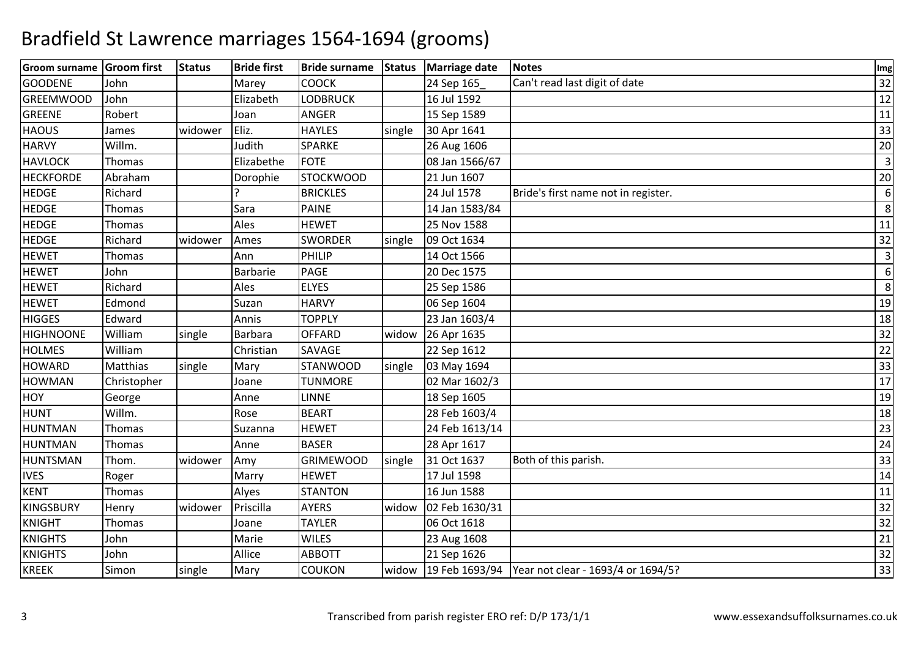| Groom surname Groom first |             | <b>Status</b> | <b>Bride first</b> | Bride surname Status |        | Marriage date  | Notes                                               | Img            |
|---------------------------|-------------|---------------|--------------------|----------------------|--------|----------------|-----------------------------------------------------|----------------|
| <b>GOODENE</b>            | John        |               | Marey              | <b>COOCK</b>         |        | 24 Sep 165     | Can't read last digit of date                       | 32             |
| <b>GREEMWOOD</b>          | John        |               | Elizabeth          | <b>LODBRUCK</b>      |        | 16 Jul 1592    |                                                     | 12             |
| GREENE                    | Robert      |               | Joan               | <b>ANGER</b>         |        | 15 Sep 1589    |                                                     | 11             |
| <b>HAOUS</b>              | James       | widower       | Eliz.              | <b>HAYLES</b>        | single | 30 Apr 1641    |                                                     | 33             |
| <b>HARVY</b>              | Willm.      |               | Judith             | <b>SPARKE</b>        |        | 26 Aug 1606    |                                                     | 20             |
| <b>HAVLOCK</b>            | Thomas      |               | Elizabethe         | <b>FOTE</b>          |        | 08 Jan 1566/67 |                                                     | $\overline{3}$ |
| <b>HECKFORDE</b>          | Abraham     |               | Dorophie           | <b>STOCKWOOD</b>     |        | 21 Jun 1607    |                                                     | 20             |
| <b>HEDGE</b>              | Richard     |               |                    | <b>BRICKLES</b>      |        | 24 Jul 1578    | Bride's first name not in register.                 | 6              |
| <b>HEDGE</b>              | Thomas      |               | Sara               | <b>PAINE</b>         |        | 14 Jan 1583/84 |                                                     | 8              |
| <b>HEDGE</b>              | Thomas      |               | Ales               | <b>HEWET</b>         |        | 25 Nov 1588    |                                                     | 11             |
| <b>HEDGE</b>              | Richard     | widower       | Ames               | <b>SWORDER</b>       | single | 09 Oct 1634    |                                                     | 32             |
| <b>HEWET</b>              | Thomas      |               | Ann                | PHILIP               |        | 14 Oct 1566    |                                                     | $\overline{3}$ |
| <b>HEWET</b>              | John        |               | Barbarie           | <b>PAGE</b>          |        | 20 Dec 1575    |                                                     | 6              |
| <b>HEWET</b>              | Richard     |               | Ales               | <b>ELYES</b>         |        | 25 Sep 1586    |                                                     | 8              |
| <b>HEWET</b>              | Edmond      |               | Suzan              | <b>HARVY</b>         |        | 06 Sep 1604    |                                                     | 19             |
| <b>HIGGES</b>             | Edward      |               | Annis              | <b>TOPPLY</b>        |        | 23 Jan 1603/4  |                                                     | 18             |
| <b>HIGHNOONE</b>          | William     | single        | Barbara            | <b>OFFARD</b>        | widow  | 26 Apr 1635    |                                                     | 32             |
| <b>HOLMES</b>             | William     |               | Christian          | SAVAGE               |        | 22 Sep 1612    |                                                     | 22             |
| <b>HOWARD</b>             | Matthias    | single        | Mary               | <b>STANWOOD</b>      | single | 03 May 1694    |                                                     | 33             |
| <b>HOWMAN</b>             | Christopher |               | Joane              | <b>TUNMORE</b>       |        | 02 Mar 1602/3  |                                                     | 17             |
| <b>HOY</b>                | George      |               | Anne               | <b>LINNE</b>         |        | 18 Sep 1605    |                                                     | 19             |
| <b>HUNT</b>               | Willm.      |               | Rose               | <b>BEART</b>         |        | 28 Feb 1603/4  |                                                     | 18             |
| <b>HUNTMAN</b>            | Thomas      |               | Suzanna            | <b>HEWET</b>         |        | 24 Feb 1613/14 |                                                     | 23             |
| <b>HUNTMAN</b>            | Thomas      |               | Anne               | <b>BASER</b>         |        | 28 Apr 1617    |                                                     | 24             |
| <b>HUNTSMAN</b>           | Thom.       | widower       | Amy                | <b>GRIMEWOOD</b>     | single | 31 Oct 1637    | Both of this parish.                                | 33             |
| <b>IVES</b>               | Roger       |               | Marry              | <b>HEWET</b>         |        | 17 Jul 1598    |                                                     | 14             |
| <b>KENT</b>               | Thomas      |               | Alyes              | <b>STANTON</b>       |        | 16 Jun 1588    |                                                     | 11             |
| KINGSBURY                 | Henry       | widower       | Priscilla          | <b>AYERS</b>         | widow  | 02 Feb 1630/31 |                                                     | 32             |
| <b>KNIGHT</b>             | Thomas      |               | Joane              | <b>TAYLER</b>        |        | 06 Oct 1618    |                                                     | 32             |
| <b>KNIGHTS</b>            | John        |               | Marie              | <b>WILES</b>         |        | 23 Aug 1608    |                                                     | 21             |
| <b>KNIGHTS</b>            | John        |               | Allice             | <b>ABBOTT</b>        |        | 21 Sep 1626    |                                                     | 32             |
| <b>KREEK</b>              | Simon       | single        | Mary               | <b>COUKON</b>        | widow  |                | 19 Feb 1693/94   Year not clear - 1693/4 or 1694/5? | 33             |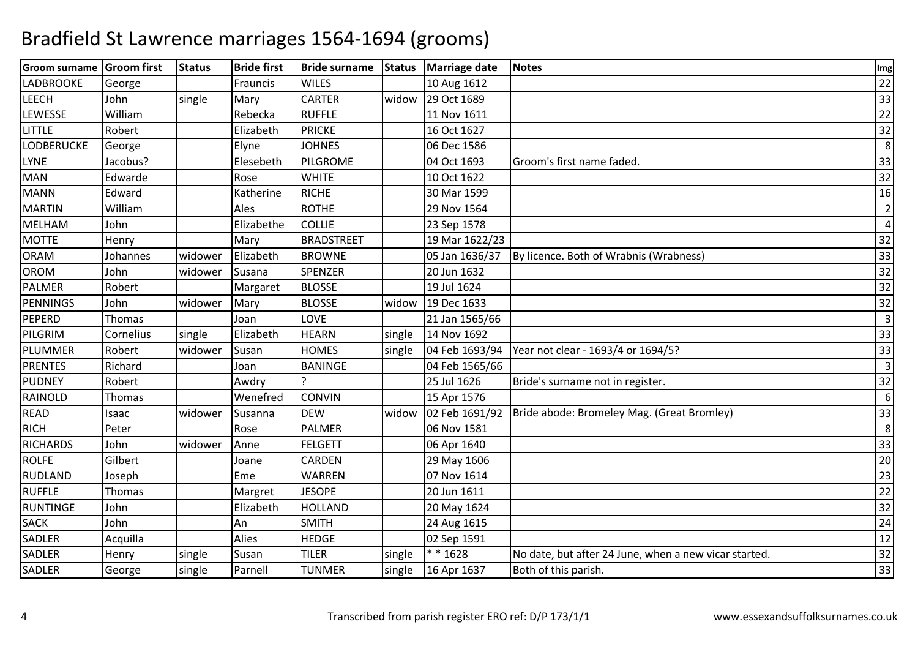| Groom surname Groom first |           | <b>Status</b> | <b>Bride first</b> | Bride surname Status |        | Marriage date  | Notes                                                       | Img            |
|---------------------------|-----------|---------------|--------------------|----------------------|--------|----------------|-------------------------------------------------------------|----------------|
| <b>LADBROOKE</b>          | George    |               | Frauncis           | <b>WILES</b>         |        | 10 Aug 1612    |                                                             | 22             |
| <b>LEECH</b>              | John      | single        | Mary               | <b>CARTER</b>        | widow  | 29 Oct 1689    |                                                             | 33             |
| <b>LEWESSE</b>            | William   |               | Rebecka            | <b>RUFFLE</b>        |        | 11 Nov 1611    |                                                             | 22             |
| LITTLE                    | Robert    |               | Elizabeth          | <b>PRICKE</b>        |        | 16 Oct 1627    |                                                             | 32             |
| <b>LODBERUCKE</b>         | George    |               | Elyne              | <b>JOHNES</b>        |        | 06 Dec 1586    |                                                             | 8              |
| <b>LYNE</b>               | Jacobus?  |               | Elesebeth          | PILGROME             |        | 04 Oct 1693    | Groom's first name faded.                                   | 33             |
| <b>MAN</b>                | Edwarde   |               | Rose               | <b>WHITE</b>         |        | 10 Oct 1622    |                                                             | 32             |
| <b>MANN</b>               | Edward    |               | Katherine          | <b>RICHE</b>         |        | 30 Mar 1599    |                                                             | 16             |
| <b>MARTIN</b>             | William   |               | Ales               | <b>ROTHE</b>         |        | 29 Nov 1564    |                                                             | $\overline{2}$ |
| <b>MELHAM</b>             | John      |               | Elizabethe         | <b>COLLIE</b>        |        | 23 Sep 1578    |                                                             | 4              |
| <b>MOTTE</b>              | Henry     |               | Mary               | <b>BRADSTREET</b>    |        | 19 Mar 1622/23 |                                                             | 32             |
| <b>ORAM</b>               | Johannes  | widower       | Elizabeth          | <b>BROWNE</b>        |        | 05 Jan 1636/37 | By licence. Both of Wrabnis (Wrabness)                      | 33             |
| <b>OROM</b>               | John      | widower       | Susana             | <b>SPENZER</b>       |        | 20 Jun 1632    |                                                             | 32             |
| <b>PALMER</b>             | Robert    |               | Margaret           | <b>BLOSSE</b>        |        | 19 Jul 1624    |                                                             | 32             |
| PENNINGS                  | John      | widower       | Mary               | <b>BLOSSE</b>        | widow  | 19 Dec 1633    |                                                             | 32             |
| PEPERD                    | Thomas    |               | Joan               | <b>LOVE</b>          |        | 21 Jan 1565/66 |                                                             | $\overline{3}$ |
| PILGRIM                   | Cornelius | single        | Elizabeth          | <b>HEARN</b>         | single | 14 Nov 1692    |                                                             | 33             |
| PLUMMER                   | Robert    | widower       | Susan              | <b>HOMES</b>         | single |                | 04 Feb 1693/94   Year not clear - 1693/4 or 1694/5?         | 33             |
| <b>PRENTES</b>            | Richard   |               | Joan               | <b>BANINGE</b>       |        | 04 Feb 1565/66 |                                                             | 3              |
| <b>PUDNEY</b>             | Robert    |               | Awdry              |                      |        | 25 Jul 1626    | Bride's surname not in register.                            | 32             |
| RAINOLD                   | Thomas    |               | Wenefred           | <b>CONVIN</b>        |        | 15 Apr 1576    |                                                             | 6              |
| <b>READ</b>               | Isaac     | widower       | Susanna            | <b>DEW</b>           | widow  |                | 02 Feb 1691/92   Bride abode: Bromeley Mag. (Great Bromley) | 33             |
| <b>RICH</b>               | Peter     |               | Rose               | <b>PALMER</b>        |        | 06 Nov 1581    |                                                             | 8              |
| <b>RICHARDS</b>           | John      | widower       | Anne               | <b>FELGETT</b>       |        | 06 Apr 1640    |                                                             | 33             |
| <b>ROLFE</b>              | Gilbert   |               | Joane              | CARDEN               |        | 29 May 1606    |                                                             | 20             |
| RUDLAND                   | Joseph    |               | Eme                | WARREN               |        | 07 Nov 1614    |                                                             | 23             |
| <b>RUFFLE</b>             | Thomas    |               | Margret            | <b>JESOPE</b>        |        | 20 Jun 1611    |                                                             | 22             |
| <b>RUNTINGE</b>           | John      |               | Elizabeth          | <b>HOLLAND</b>       |        | 20 May 1624    |                                                             | 32             |
| <b>SACK</b>               | John      |               | An                 | <b>SMITH</b>         |        | 24 Aug 1615    |                                                             | 24             |
| SADLER                    | Acquilla  |               | Alies              | <b>HEDGE</b>         |        | 02 Sep 1591    |                                                             | 12             |
| SADLER                    | Henry     | single        | Susan              | <b>TILER</b>         | single | * * 1628       | No date, but after 24 June, when a new vicar started        | 32             |
| SADLER                    | George    | single        | Parnell            | <b>TUNMER</b>        | single | 16 Apr 1637    | Both of this parish.                                        | 33             |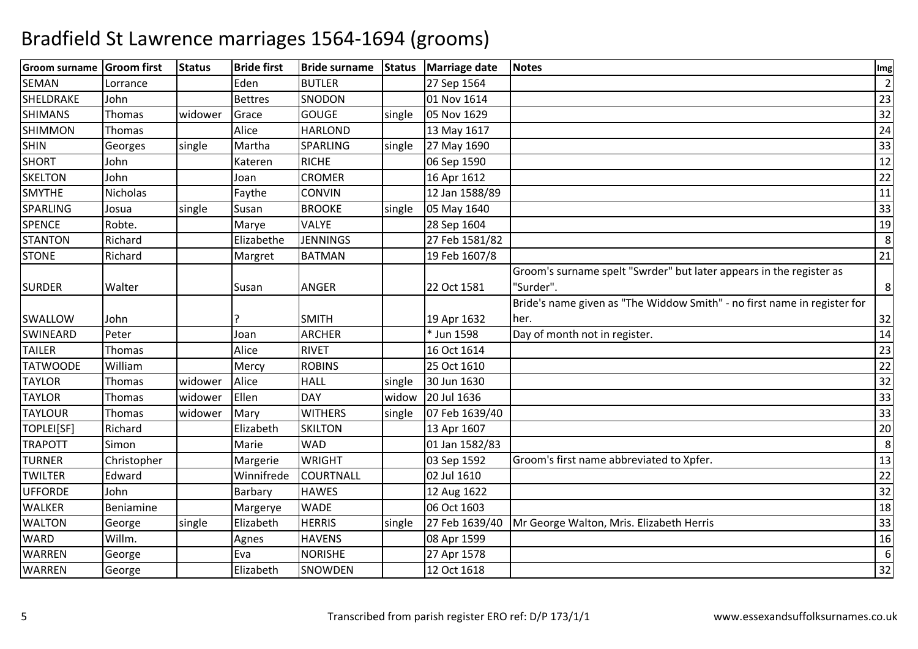| Groom surname   | <b>Groom</b> first | <b>Status</b> | <b>Bride first</b> | <b>Bride surname</b> | <b>Status</b> | <b>Marriage date</b> | <b>Notes</b>                                                             | Img            |
|-----------------|--------------------|---------------|--------------------|----------------------|---------------|----------------------|--------------------------------------------------------------------------|----------------|
| <b>SEMAN</b>    | Lorrance           |               | Eden               | <b>BUTLER</b>        |               | 27 Sep 1564          |                                                                          | $\overline{2}$ |
| SHELDRAKE       | John               |               | <b>Bettres</b>     | SNODON               |               | 01 Nov 1614          |                                                                          | 23             |
| <b>SHIMANS</b>  | Thomas             | widower       | Grace              | GOUGE                | single        | 05 Nov 1629          |                                                                          | 32             |
| <b>SHIMMON</b>  | Thomas             |               | Alice              | <b>HARLOND</b>       |               | 13 May 1617          |                                                                          | 24             |
| <b>SHIN</b>     | Georges            | single        | Martha             | SPARLING             | single        | 27 May 1690          |                                                                          | 33             |
| <b>SHORT</b>    | John               |               | Kateren            | <b>RICHE</b>         |               | 06 Sep 1590          |                                                                          | 12             |
| <b>SKELTON</b>  | John               |               | Joan               | <b>CROMER</b>        |               | 16 Apr 1612          |                                                                          | 22             |
| <b>SMYTHE</b>   | Nicholas           |               | Faythe             | <b>CONVIN</b>        |               | 12 Jan 1588/89       |                                                                          | 11             |
| <b>SPARLING</b> | Josua              | single        | Susan              | <b>BROOKE</b>        | single        | 05 May 1640          |                                                                          | 33             |
| <b>SPENCE</b>   | Robte.             |               | Marye              | <b>VALYE</b>         |               | 28 Sep 1604          |                                                                          | 19             |
| <b>STANTON</b>  | Richard            |               | Elizabethe         | <b>JENNINGS</b>      |               | 27 Feb 1581/82       |                                                                          | 8              |
| <b>STONE</b>    | Richard            |               | Margret            | <b>BATMAN</b>        |               | 19 Feb 1607/8        |                                                                          | 21             |
|                 |                    |               |                    |                      |               |                      | Groom's surname spelt "Swrder" but later appears in the register as      |                |
| <b>SURDER</b>   | Walter             |               | Susan              | ANGER                |               | 22 Oct 1581          | 'Surder".                                                                | 8              |
|                 |                    |               |                    |                      |               |                      | Bride's name given as "The Widdow Smith" - no first name in register for |                |
| SWALLOW         | John               |               |                    | <b>SMITH</b>         |               | 19 Apr 1632          | her.                                                                     | 32             |
| <b>SWINEARD</b> | Peter              |               | Joan               | <b>ARCHER</b>        |               | * Jun 1598           | Day of month not in register.                                            | 14             |
| <b>TAILER</b>   | Thomas             |               | Alice              | <b>RIVET</b>         |               | 16 Oct 1614          |                                                                          | 23             |
| <b>TATWOODE</b> | William            |               | Mercy              | <b>ROBINS</b>        |               | 25 Oct 1610          |                                                                          | 22             |
| <b>TAYLOR</b>   | Thomas             | widower       | Alice              | <b>HALL</b>          | single        | 30 Jun 1630          |                                                                          | 32             |
| <b>TAYLOR</b>   | Thomas             | widower       | Ellen              | <b>DAY</b>           | widow         | 20 Jul 1636          |                                                                          | 33             |
| <b>TAYLOUR</b>  | Thomas             | widower       | Mary               | <b>WITHERS</b>       | single        | 07 Feb 1639/40       |                                                                          | 33             |
| TOPLEI[SF]      | Richard            |               | Elizabeth          | <b>SKILTON</b>       |               | 13 Apr 1607          |                                                                          | 20             |
| <b>TRAPOTT</b>  | Simon              |               | Marie              | <b>WAD</b>           |               | 01 Jan 1582/83       |                                                                          | 8              |
| <b>TURNER</b>   | Christopher        |               | Margerie           | <b>WRIGHT</b>        |               | 03 Sep 1592          | Groom's first name abbreviated to Xpfer.                                 | 13             |
| <b>TWILTER</b>  | Edward             |               | Winnifrede         | COURTNALL            |               | 02 Jul 1610          |                                                                          | 22             |
| <b>UFFORDE</b>  | John               |               | Barbary            | <b>HAWES</b>         |               | 12 Aug 1622          |                                                                          | 32             |
| <b>WALKER</b>   | <b>Beniamine</b>   |               | Margerye           | <b>WADE</b>          |               | 06 Oct 1603          |                                                                          | 18             |
| <b>WALTON</b>   | George             | single        | Elizabeth          | <b>HERRIS</b>        | single        |                      | 27 Feb 1639/40 Mr George Walton, Mris. Elizabeth Herris                  | 33             |
| <b>WARD</b>     | Willm.             |               | Agnes              | <b>HAVENS</b>        |               | 08 Apr 1599          |                                                                          | 16             |
| <b>WARREN</b>   | George             |               | Eva                | <b>NORISHE</b>       |               | 27 Apr 1578          |                                                                          | 6              |
| <b>WARREN</b>   | George             |               | Elizabeth          | SNOWDEN              |               | 12 Oct 1618          |                                                                          | 32             |